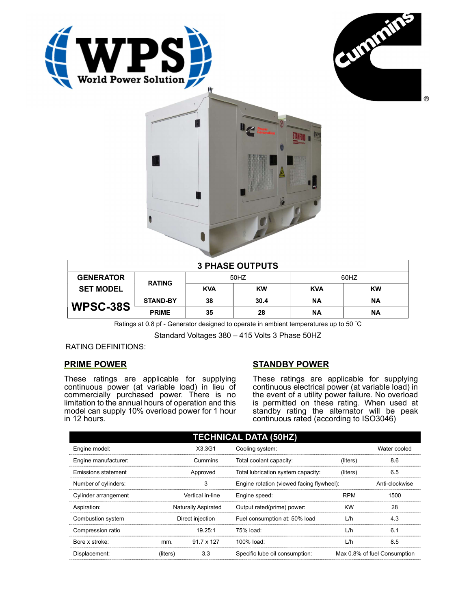





| <b>3 PHASE OUTPUTS</b> |                 |            |           |            |           |  |
|------------------------|-----------------|------------|-----------|------------|-----------|--|
| <b>GENERATOR</b>       | <b>RATING</b>   | 50HZ       |           | 60HZ       |           |  |
| <b>SET MODEL</b>       |                 | <b>KVA</b> | <b>KW</b> | <b>KVA</b> | <b>KW</b> |  |
| WPSC-38S               | <b>STAND-BY</b> | 38         | 30.4      | <b>NA</b>  | ΝA        |  |
|                        | <b>PRIME</b>    | 35         | 28        | ΝA         | ΝA        |  |

Ratings at 0.8 pf - Generator designed to operate in ambient temperatures up to 50 °C

Standard Voltages 380 – 415 Volts 3 Phase 50HZ

RATING DEFINITIONS:

## PRIME POWER

These ratings are applicable for supplying continuous power (at variable load) in lieu of commercially purchased power. There is no limitation to the annual hours of operation and this model can supply 10% overload power for 1 hour in 12 hours.

## STANDBY POWER

These ratings are applicable for supplying continuous electrical power (at variable load) in the event of a utility power failure. No overload is permitted on these rating. When used at standby rating the alternator will be peak continuous rated (according to ISO3046)

| <b>TECHNICAL DATA (50HZ)</b> |                     |                   |                                           |            |                              |  |
|------------------------------|---------------------|-------------------|-------------------------------------------|------------|------------------------------|--|
| Engine model:                |                     | X3.3G1            | Cooling system:                           |            | Water cooled                 |  |
| Engine manufacturer:         | Cummins             |                   | Total coolant capacity:                   | (liters)   | 8.6                          |  |
| <b>Emissions statement</b>   | Approved            |                   | Total lubrication system capacity:        | (liters)   | 6.5                          |  |
| Number of cylinders:         | 3                   |                   | Engine rotation (viewed facing flywheel): |            | Anti-clockwise               |  |
| Cylinder arrangement         | Vertical in-line    |                   | Engine speed:                             | <b>RPM</b> | 1500                         |  |
| Aspiration:                  | Naturally Aspirated |                   | Output rated(prime) power:                | <b>KW</b>  | 28                           |  |
| Combustion system            | Direct injection    |                   | Fuel consumption at: 50% load             | L/h        | 4.3                          |  |
| Compression ratio            |                     | 19.25:1           | 75% load:                                 | L/h        | 6.1                          |  |
| Bore x stroke:               | mm.                 | $91.7 \times 127$ | 100% load:                                | L/h        | 8.5                          |  |
| Displacement:                | (liters)            | 3.3               | Specific lube oil consumption:            |            | Max 0.8% of fuel Consumption |  |